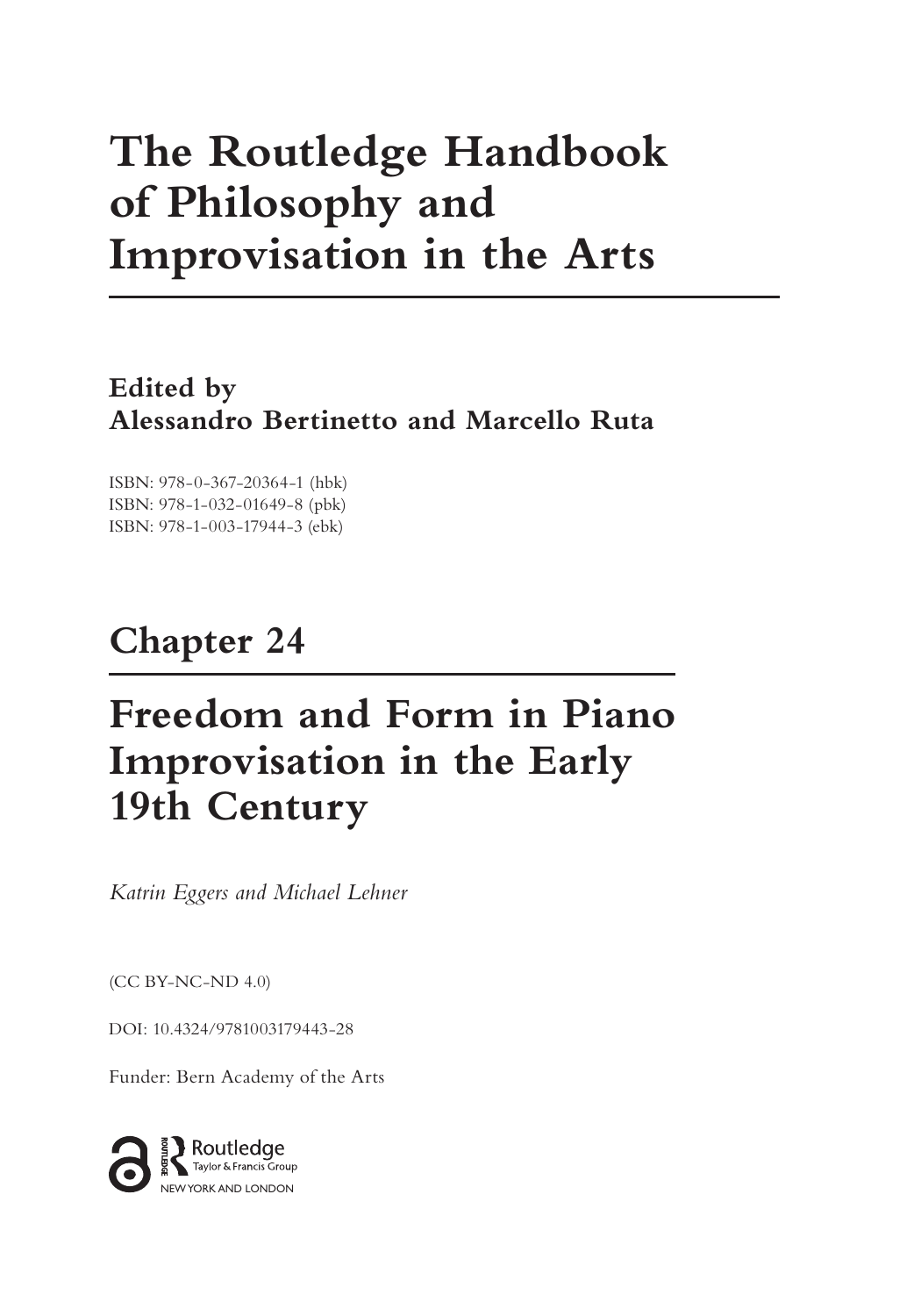# **The Routledge Handbook of Philosophy and Improvisation in the Arts**

**Edited by Alessandro Bertinetto and Marcello Ruta**

ISBN: 978-0-367-20364-1 (hbk) ISBN: 978-1-032-01649-8 (pbk) ISBN: 978-1-003-17944-3 (ebk)

## **Chapter 24**

## **Freedom and Form in Piano Improvisation in the Early 19th Century**

*Katrin Eggers and Michael Lehner*

(CC BY-NC-ND 4.0)

[DOI: 10.4324/9781003179443-28](https://doi.org/10.4324/9781003179443-28)

Funder: Bern Academy of the Arts

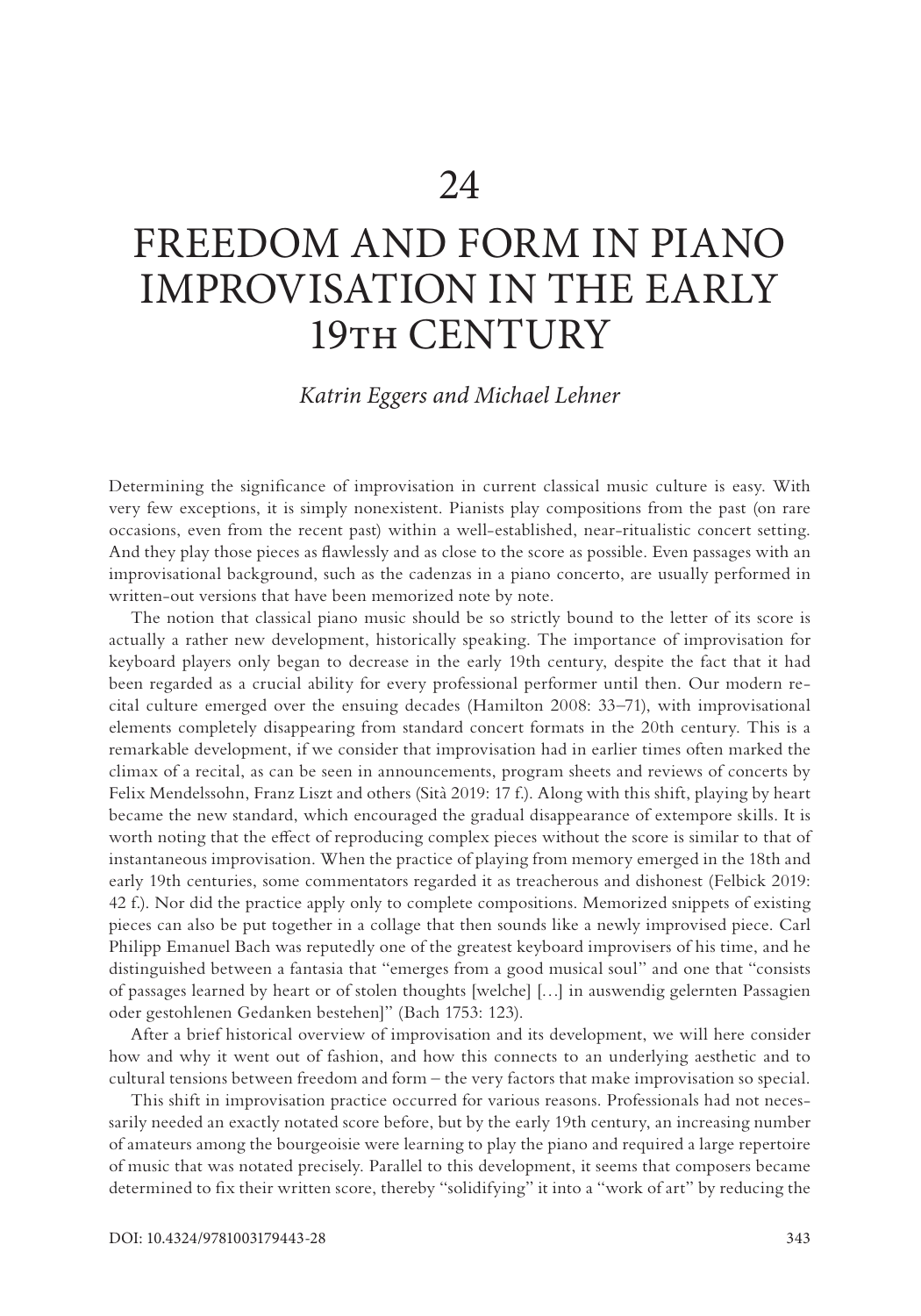### FREEDOM AND FORM IN PIANO IMPROVISATION IN THE EARLY 19TH CENTURY

#### *Katrin Eggers and Michael Lehner*

Determining the significance of improvisation in current classical music culture is easy. With very few exceptions, it is simply nonexistent. Pianists play compositions from the past (on rare occasions, even from the recent past) within a well-established, near-ritualistic concert setting. And they play those pieces as flawlessly and as close to the score as possible. Even passages with an improvisational background, such as the cadenzas in a piano concerto, are usually performed in written-out versions that have been memorized note by note.

The notion that classical piano music should be so strictly bound to the letter of its score is actually a rather new development, historically speaking. The importance of improvisation for keyboard players only began to decrease in the early 19th century, despite the fact that it had been regarded as a crucial ability for every professional performer until then. Our modern recital culture emerged over the ensuing decades (Hamilton 2008: 33–71), with improvisational elements completely disappearing from standard concert formats in the 20th century. This is a remarkable development, if we consider that improvisation had in earlier times often marked the climax of a recital, as can be seen in announcements, program sheets and reviews of concerts by Felix Mendelssohn, Franz Liszt and others (Sità 2019: 17 f.). Along with this shift, playing by heart became the new standard, which encouraged the gradual disappearance of extempore skills. It is worth noting that the effect of reproducing complex pieces without the score is similar to that of instantaneous improvisation. When the practice of playing from memory emerged in the 18th and early 19th centuries, some commentators regarded it as treacherous and dishonest (Felbick 2019: 42 f.). Nor did the practice apply only to complete compositions. Memorized snippets of existing pieces can also be put together in a collage that then sounds like a newly improvised piece. Carl Philipp Emanuel Bach was reputedly one of the greatest keyboard improvisers of his time, and he distinguished between a fantasia that "emerges from a good musical soul" and one that "consists of passages learned by heart or of stolen thoughts [welche] […] in auswendig gelernten Passagien oder gestohlenen Gedanken bestehen]" (Bach 1753: 123).

After a brief historical overview of improvisation and its development, we will here consider how and why it went out of fashion, and how this connects to an underlying aesthetic and to cultural tensions between freedom and form – the very factors that make improvisation so special.

This shift in improvisation practice occurred for various reasons. Professionals had not necessarily needed an exactly notated score before, but by the early 19th century, an increasing number of amateurs among the bourgeoisie were learning to play the piano and required a large repertoire of music that was notated precisely. Parallel to this development, it seems that composers became determined to fix their written score, thereby "solidifying" it into a "work of art" by reducing the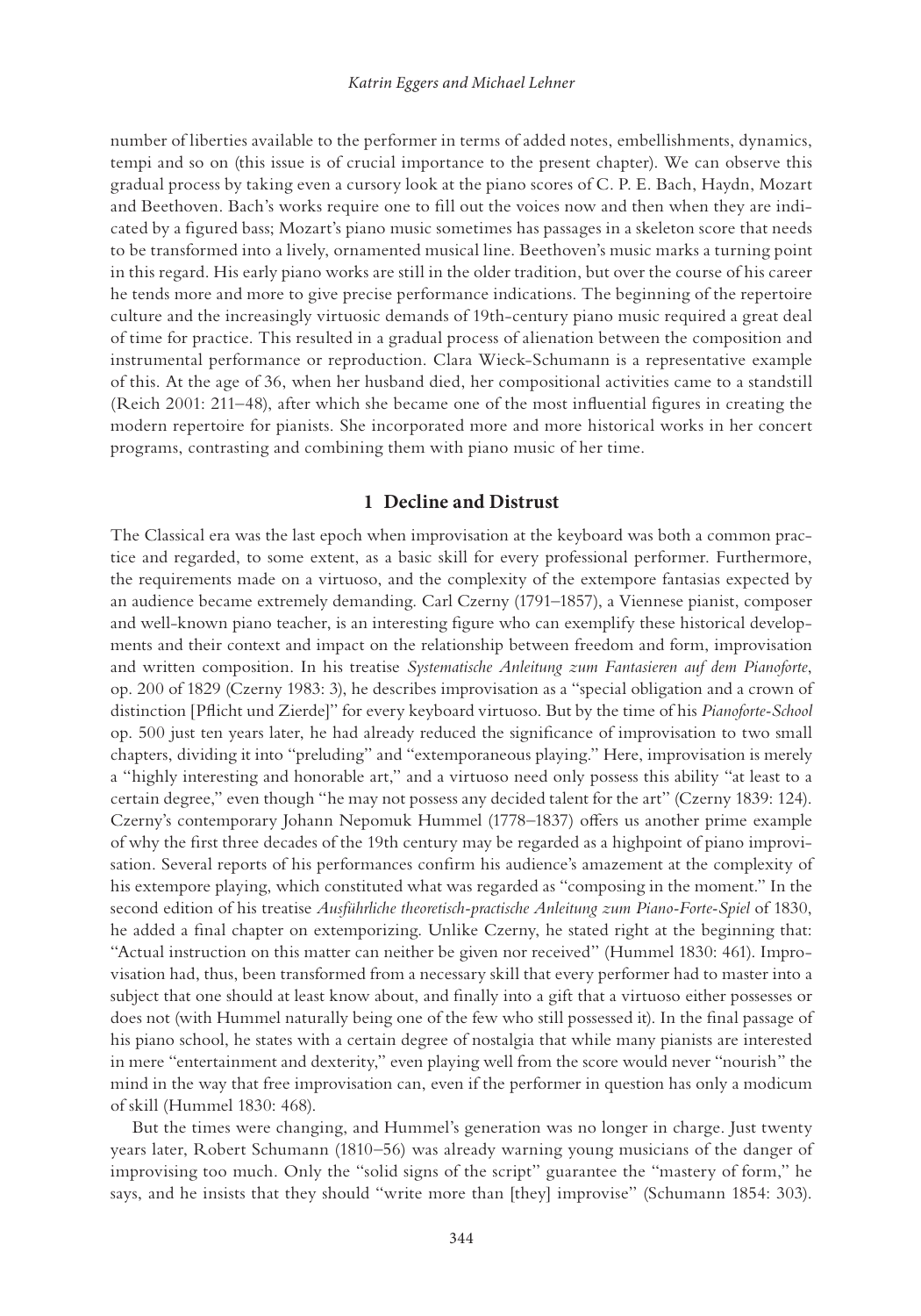number of liberties available to the performer in terms of added notes, embellishments, dynamics, tempi and so on (this issue is of crucial importance to the present chapter). We can observe this gradual process by taking even a cursory look at the piano scores of C. P. E. Bach, Haydn, Mozart and Beethoven. Bach's works require one to fill out the voices now and then when they are indicated by a figured bass; Mozart's piano music sometimes has passages in a skeleton score that needs to be transformed into a lively, ornamented musical line. Beethoven's music marks a turning point in this regard. His early piano works are still in the older tradition, but over the course of his career he tends more and more to give precise performance indications. The beginning of the repertoire culture and the increasingly virtuosic demands of 19th-century piano music required a great deal of time for practice. This resulted in a gradual process of alienation between the composition and instrumental performance or reproduction. Clara Wieck-Schumann is a representative example of this. At the age of 36, when her husband died, her compositional activities came to a standstill (Reich 2001: 211–48), after which she became one of the most influential figures in creating the modern repertoire for pianists. She incorporated more and more historical works in her concert programs, contrasting and combining them with piano music of her time.

#### **1 Decline and Distrust**

The Classical era was the last epoch when improvisation at the keyboard was both a common practice and regarded, to some extent, as a basic skill for every professional performer. Furthermore, the requirements made on a virtuoso, and the complexity of the extempore fantasias expected by an audience became extremely demanding. Carl Czerny (1791–1857), a Viennese pianist, composer and well-known piano teacher, is an interesting figure who can exemplify these historical developments and their context and impact on the relationship between freedom and form, improvisation and written composition. In his treatise *Systematische Anleitung zum Fantasieren auf dem Pianoforte*, op. 200 of 1829 (Czerny 1983: 3), he describes improvisation as a "special obligation and a crown of distinction [Pflicht und Zierde]" for every keyboard virtuoso. But by the time of his *Pianoforte-School* op. 500 just ten years later, he had already reduced the significance of improvisation to two small chapters, dividing it into "preluding" and "extemporaneous playing." Here, improvisation is merely a "highly interesting and honorable art," and a virtuoso need only possess this ability "at least to a certain degree," even though "he may not possess any decided talent for the art" (Czerny 1839: 124). Czerny's contemporary Johann Nepomuk Hummel (1778–1837) offers us another prime example of why the first three decades of the 19th century may be regarded as a highpoint of piano improvisation. Several reports of his performances confirm his audience's amazement at the complexity of his extempore playing, which constituted what was regarded as "composing in the moment." In the second edition of his treatise *Ausführliche theoretisch-practische Anleitung zum Piano-Forte-Spiel* of 1830, he added a final chapter on extemporizing. Unlike Czerny, he stated right at the beginning that: "Actual instruction on this matter can neither be given nor received" (Hummel 1830: 461). Improvisation had, thus, been transformed from a necessary skill that every performer had to master into a subject that one should at least know about, and finally into a gift that a virtuoso either possesses or does not (with Hummel naturally being one of the few who still possessed it). In the final passage of his piano school, he states with a certain degree of nostalgia that while many pianists are interested in mere "entertainment and dexterity," even playing well from the score would never "nourish" the mind in the way that free improvisation can, even if the performer in question has only a modicum of skill (Hummel 1830: 468).

But the times were changing, and Hummel's generation was no longer in charge. Just twenty years later, Robert Schumann (1810–56) was already warning young musicians of the danger of improvising too much. Only the "solid signs of the script" guarantee the "mastery of form," he says, and he insists that they should "write more than [they] improvise" (Schumann 1854: 303).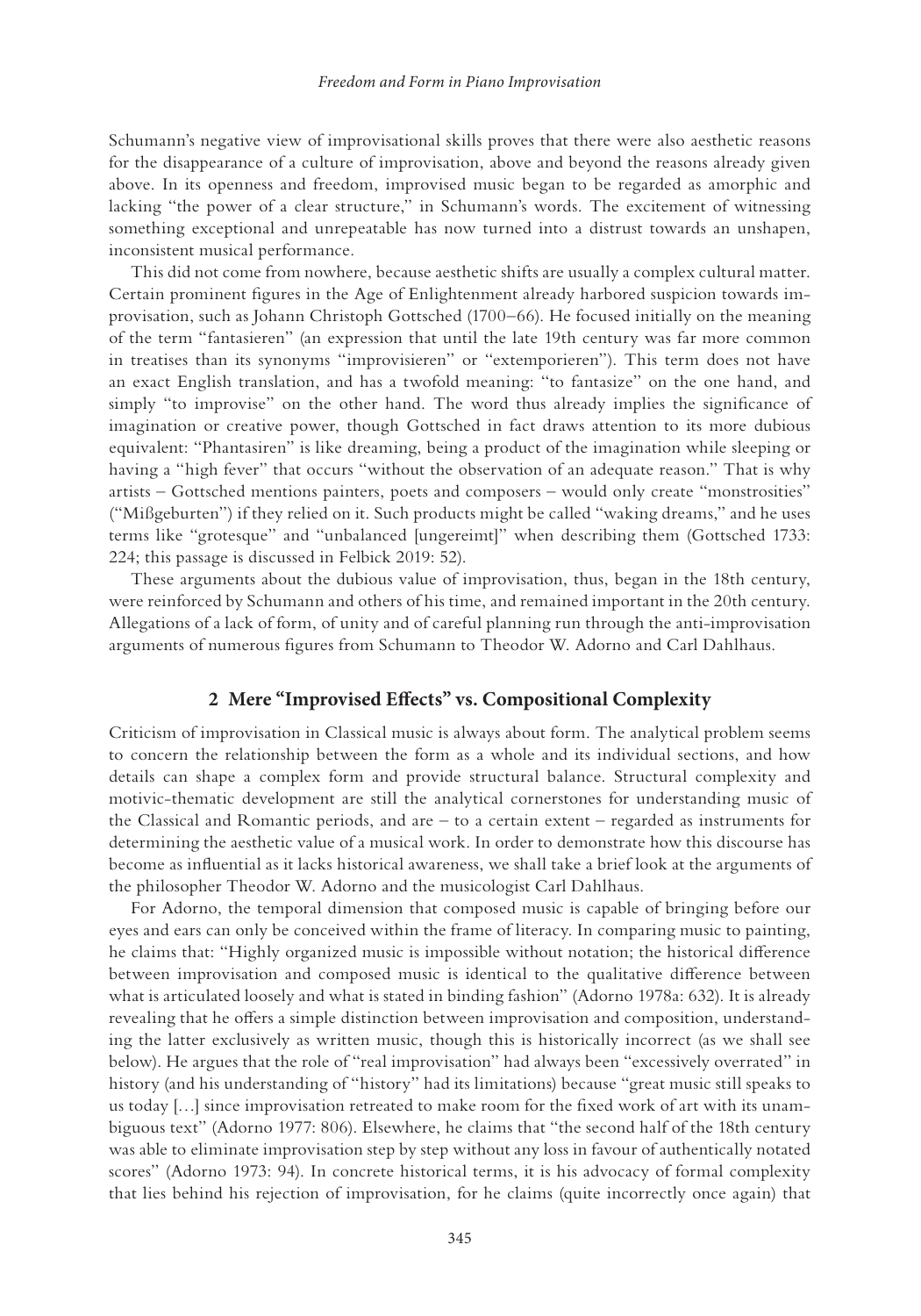Schumann's negative view of improvisational skills proves that there were also aesthetic reasons for the disappearance of a culture of improvisation, above and beyond the reasons already given above. In its openness and freedom, improvised music began to be regarded as amorphic and lacking "the power of a clear structure," in Schumann's words. The excitement of witnessing something exceptional and unrepeatable has now turned into a distrust towards an unshapen, inconsistent musical performance.

This did not come from nowhere, because aesthetic shifts are usually a complex cultural matter. Certain prominent figures in the Age of Enlightenment already harbored suspicion towards improvisation, such as Johann Christoph Gottsched (1700–66). He focused initially on the meaning of the term "fantasieren" (an expression that until the late 19th century was far more common in treatises than its synonyms "improvisieren" or "extemporieren"). This term does not have an exact English translation, and has a twofold meaning: "to fantasize" on the one hand, and simply "to improvise" on the other hand. The word thus already implies the significance of imagination or creative power, though Gottsched in fact draws attention to its more dubious equivalent: "Phantasiren" is like dreaming, being a product of the imagination while sleeping or having a "high fever" that occurs "without the observation of an adequate reason." That is why artists – Gottsched mentions painters, poets and composers – would only create "monstrosities" ("Mißgeburten") if they relied on it. Such products might be called "waking dreams," and he uses terms like "grotesque" and "unbalanced [ungereimt]" when describing them (Gottsched 1733: 224; this passage is discussed in Felbick 2019: 52).

These arguments about the dubious value of improvisation, thus, began in the 18th century, were reinforced by Schumann and others of his time, and remained important in the 20th century. Allegations of a lack of form, of unity and of careful planning run through the anti-improvisation arguments of numerous figures from Schumann to Theodor W. Adorno and Carl Dahlhaus.

#### **2 Mere "Improvised Effects" vs. Compositional Complexity**

Criticism of improvisation in Classical music is always about form. The analytical problem seems to concern the relationship between the form as a whole and its individual sections, and how details can shape a complex form and provide structural balance. Structural complexity and motivic-thematic development are still the analytical cornerstones for understanding music of the Classical and Romantic periods, and are – to a certain extent – regarded as instruments for determining the aesthetic value of a musical work. In order to demonstrate how this discourse has become as influential as it lacks historical awareness, we shall take a brief look at the arguments of the philosopher Theodor W. Adorno and the musicologist Carl Dahlhaus.

For Adorno, the temporal dimension that composed music is capable of bringing before our eyes and ears can only be conceived within the frame of literacy. In comparing music to painting, he claims that: "Highly organized music is impossible without notation; the historical difference between improvisation and composed music is identical to the qualitative difference between what is articulated loosely and what is stated in binding fashion" (Adorno 1978a: 632). It is already revealing that he offers a simple distinction between improvisation and composition, understanding the latter exclusively as written music, though this is historically incorrect (as we shall see below). He argues that the role of "real improvisation" had always been "excessively overrated" in history (and his understanding of "history" had its limitations) because "great music still speaks to us today […] since improvisation retreated to make room for the fixed work of art with its unambiguous text" (Adorno 1977: 806). Elsewhere, he claims that "the second half of the 18th century was able to eliminate improvisation step by step without any loss in favour of authentically notated scores" (Adorno 1973: 94). In concrete historical terms, it is his advocacy of formal complexity that lies behind his rejection of improvisation, for he claims (quite incorrectly once again) that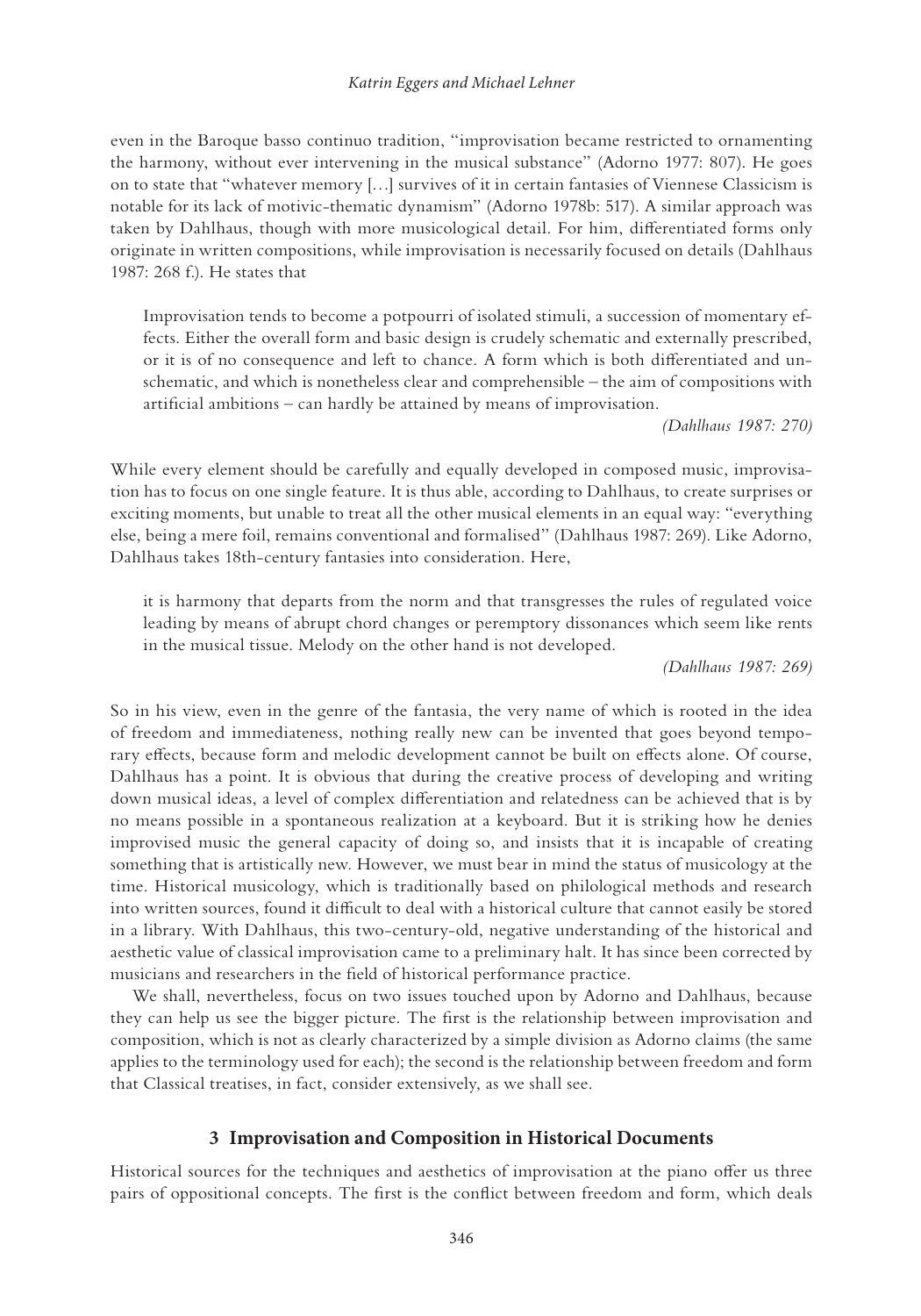even in the Baroque basso continuo tradition, "improvisation became restricted to ornamenting the harmony, without ever intervening in the musical substance" (Adorno 1977: 807). He goes on to state that "whatever memory […] survives of it in certain fantasies of Viennese Classicism is notable for its lack of motivic-thematic dynamism" (Adorno 1978b: 517). A similar approach was taken by Dahlhaus, though with more musicological detail. For him, differentiated forms only originate in written compositions, while improvisation is necessarily focused on details (Dahlhaus 1987: 268 f.). He states that

Improvisation tends to become a potpourri of isolated stimuli, a succession of momentary effects. Either the overall form and basic design is crudely schematic and externally prescribed, or it is of no consequence and left to chance. A form which is both differentiated and unschematic, and which is nonetheless clear and comprehensible – the aim of compositions with artificial ambitions – can hardly be attained by means of improvisation.

*(Dahlhaus 1987: 270)*

While every element should be carefully and equally developed in composed music, improvisation has to focus on one single feature. It is thus able, according to Dahlhaus, to create surprises or exciting moments, but unable to treat all the other musical elements in an equal way: "everything else, being a mere foil, remains conventional and formalised" (Dahlhaus 1987: 269). Like Adorno, Dahlhaus takes 18th-century fantasies into consideration. Here,

it is harmony that departs from the norm and that transgresses the rules of regulated voice leading by means of abrupt chord changes or peremptory dissonances which seem like rents in the musical tissue. Melody on the other hand is not developed.

*(Dahlhaus 1987: 269)*

So in his view, even in the genre of the fantasia, the very name of which is rooted in the idea of freedom and immediateness, nothing really new can be invented that goes beyond temporary effects, because form and melodic development cannot be built on effects alone. Of course, Dahlhaus has a point. It is obvious that during the creative process of developing and writing down musical ideas, a level of complex differentiation and relatedness can be achieved that is by no means possible in a spontaneous realization at a keyboard. But it is striking how he denies improvised music the general capacity of doing so, and insists that it is incapable of creating something that is artistically new. However, we must bear in mind the status of musicology at the time. Historical musicology, which is traditionally based on philological methods and research into written sources, found it difficult to deal with a historical culture that cannot easily be stored in a library. With Dahlhaus, this two-century-old, negative understanding of the historical and aesthetic value of classical improvisation came to a preliminary halt. It has since been corrected by musicians and researchers in the field of historical performance practice.

We shall, nevertheless, focus on two issues touched upon by Adorno and Dahlhaus, because they can help us see the bigger picture. The first is the relationship between improvisation and composition, which is not as clearly characterized by a simple division as Adorno claims (the same applies to the terminology used for each); the second is the relationship between freedom and form that Classical treatises, in fact, consider extensively, as we shall see.

#### **3 Improvisation and Composition in Historical Documents**

Historical sources for the techniques and aesthetics of improvisation at the piano offer us three pairs of oppositional concepts. The first is the conflict between freedom and form, which deals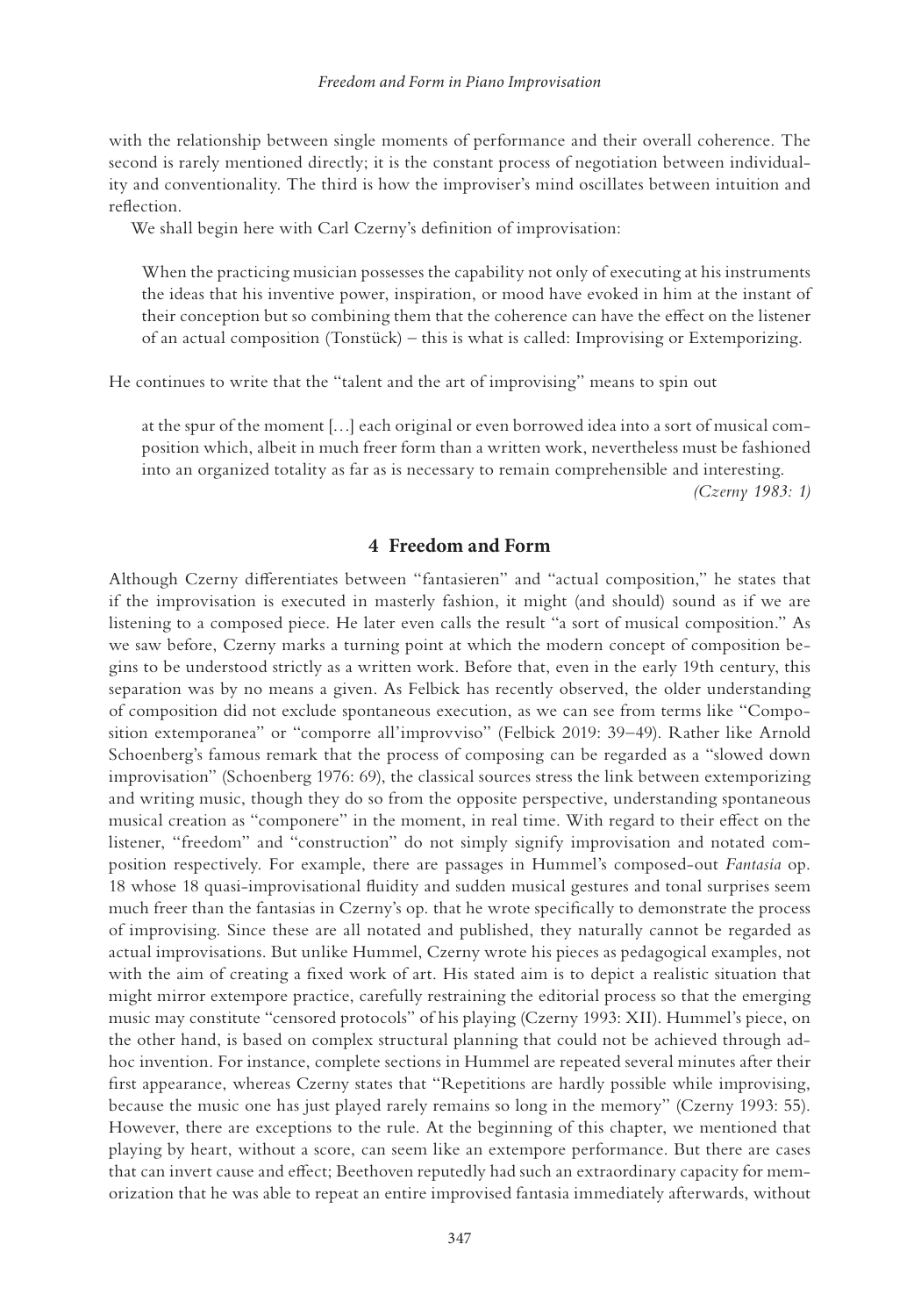with the relationship between single moments of performance and their overall coherence. The second is rarely mentioned directly; it is the constant process of negotiation between individuality and conventionality. The third is how the improviser's mind oscillates between intuition and reflection.

We shall begin here with Carl Czerny's definition of improvisation:

When the practicing musician possesses the capability not only of executing at his instruments the ideas that his inventive power, inspiration, or mood have evoked in him at the instant of their conception but so combining them that the coherence can have the effect on the listener of an actual composition (Tonstück) – this is what is called: Improvising or Extemporizing.

He continues to write that the "talent and the art of improvising" means to spin out

at the spur of the moment […] each original or even borrowed idea into a sort of musical composition which, albeit in much freer form than a written work, nevertheless must be fashioned into an organized totality as far as is necessary to remain comprehensible and interesting. *(Czerny 1983: 1)*

#### **4 Freedom and Form**

Although Czerny differentiates between "fantasieren" and "actual composition," he states that if the improvisation is executed in masterly fashion, it might (and should) sound as if we are listening to a composed piece. He later even calls the result "a sort of musical composition." As we saw before, Czerny marks a turning point at which the modern concept of composition begins to be understood strictly as a written work. Before that, even in the early 19th century, this separation was by no means a given. As Felbick has recently observed, the older understanding of composition did not exclude spontaneous execution, as we can see from terms like "Composition extemporanea" or "comporre all'improvviso" (Felbick 2019: 39–49). Rather like Arnold Schoenberg's famous remark that the process of composing can be regarded as a "slowed down improvisation" (Schoenberg 1976: 69), the classical sources stress the link between extemporizing and writing music, though they do so from the opposite perspective, understanding spontaneous musical creation as "componere" in the moment, in real time. With regard to their effect on the listener, "freedom" and "construction" do not simply signify improvisation and notated composition respectively. For example, there are passages in Hummel's composed-out *Fantasia* op. 18 whose 18 quasi-improvisational fluidity and sudden musical gestures and tonal surprises seem much freer than the fantasias in Czerny's op. that he wrote specifically to demonstrate the process of improvising. Since these are all notated and published, they naturally cannot be regarded as actual improvisations. But unlike Hummel, Czerny wrote his pieces as pedagogical examples, not with the aim of creating a fixed work of art. His stated aim is to depict a realistic situation that might mirror extempore practice, carefully restraining the editorial process so that the emerging music may constitute "censored protocols" of his playing (Czerny 1993: XII). Hummel's piece, on the other hand, is based on complex structural planning that could not be achieved through adhoc invention. For instance, complete sections in Hummel are repeated several minutes after their first appearance, whereas Czerny states that "Repetitions are hardly possible while improvising, because the music one has just played rarely remains so long in the memory" (Czerny 1993: 55). However, there are exceptions to the rule. At the beginning of this chapter, we mentioned that playing by heart, without a score, can seem like an extempore performance. But there are cases that can invert cause and effect; Beethoven reputedly had such an extraordinary capacity for memorization that he was able to repeat an entire improvised fantasia immediately afterwards, without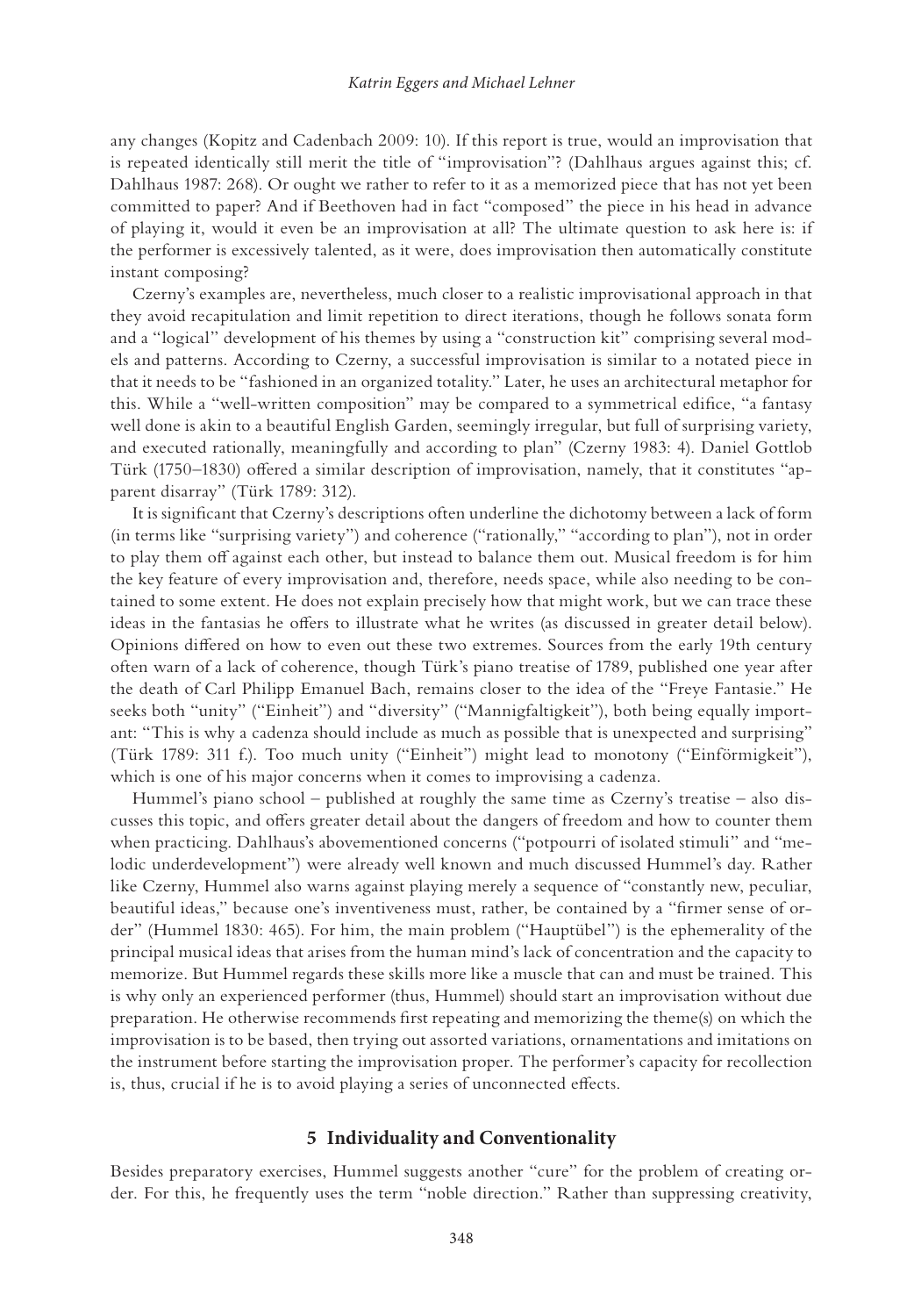any changes (Kopitz and Cadenbach 2009: 10). If this report is true, would an improvisation that is repeated identically still merit the title of "improvisation"? (Dahlhaus argues against this; cf. Dahlhaus 1987: 268). Or ought we rather to refer to it as a memorized piece that has not yet been committed to paper? And if Beethoven had in fact "composed" the piece in his head in advance of playing it, would it even be an improvisation at all? The ultimate question to ask here is: if the performer is excessively talented, as it were, does improvisation then automatically constitute instant composing?

Czerny's examples are, nevertheless, much closer to a realistic improvisational approach in that they avoid recapitulation and limit repetition to direct iterations, though he follows sonata form and a "logical" development of his themes by using a "construction kit" comprising several models and patterns. According to Czerny, a successful improvisation is similar to a notated piece in that it needs to be "fashioned in an organized totality." Later, he uses an architectural metaphor for this. While a "well-written composition" may be compared to a symmetrical edifice, "a fantasy well done is akin to a beautiful English Garden, seemingly irregular, but full of surprising variety, and executed rationally, meaningfully and according to plan" (Czerny 1983: 4). Daniel Gottlob Türk (1750–1830) offered a similar description of improvisation, namely, that it constitutes "apparent disarray" (Türk 1789: 312).

It is significant that Czerny's descriptions often underline the dichotomy between a lack of form (in terms like "surprising variety") and coherence ("rationally," "according to plan"), not in order to play them off against each other, but instead to balance them out. Musical freedom is for him the key feature of every improvisation and, therefore, needs space, while also needing to be contained to some extent. He does not explain precisely how that might work, but we can trace these ideas in the fantasias he offers to illustrate what he writes (as discussed in greater detail below). Opinions differed on how to even out these two extremes. Sources from the early 19th century often warn of a lack of coherence, though Türk's piano treatise of 1789, published one year after the death of Carl Philipp Emanuel Bach, remains closer to the idea of the "Freye Fantasie." He seeks both "unity" ("Einheit") and "diversity" ("Mannigfaltigkeit"), both being equally important: "This is why a cadenza should include as much as possible that is unexpected and surprising" (Türk 1789: 311 f.). Too much unity ("Einheit") might lead to monotony ("Einförmigkeit"), which is one of his major concerns when it comes to improvising a cadenza.

Hummel's piano school – published at roughly the same time as Czerny's treatise – also discusses this topic, and offers greater detail about the dangers of freedom and how to counter them when practicing. Dahlhaus's abovementioned concerns ("potpourri of isolated stimuli" and "melodic underdevelopment") were already well known and much discussed Hummel's day. Rather like Czerny, Hummel also warns against playing merely a sequence of "constantly new, peculiar, beautiful ideas," because one's inventiveness must, rather, be contained by a "firmer sense of order" (Hummel 1830: 465). For him, the main problem ("Hauptübel") is the ephemerality of the principal musical ideas that arises from the human mind's lack of concentration and the capacity to memorize. But Hummel regards these skills more like a muscle that can and must be trained. This is why only an experienced performer (thus, Hummel) should start an improvisation without due preparation. He otherwise recommends first repeating and memorizing the theme(s) on which the improvisation is to be based, then trying out assorted variations, ornamentations and imitations on the instrument before starting the improvisation proper. The performer's capacity for recollection is, thus, crucial if he is to avoid playing a series of unconnected effects.

#### **5 Individuality and Conventionality**

Besides preparatory exercises, Hummel suggests another "cure" for the problem of creating order. For this, he frequently uses the term "noble direction." Rather than suppressing creativity,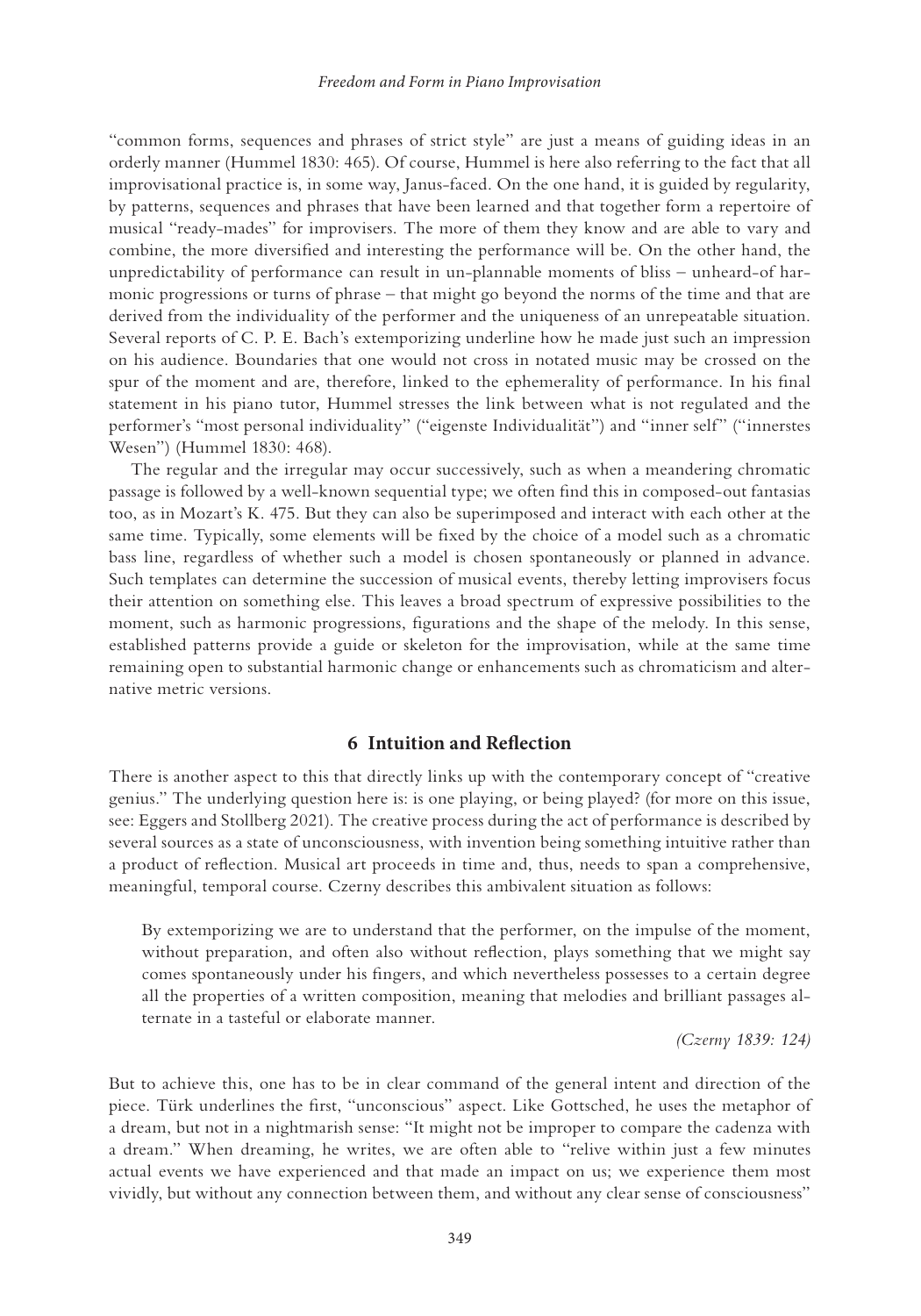"common forms, sequences and phrases of strict style" are just a means of guiding ideas in an orderly manner (Hummel 1830: 465). Of course, Hummel is here also referring to the fact that all improvisational practice is, in some way, Janus-faced. On the one hand, it is guided by regularity, by patterns, sequences and phrases that have been learned and that together form a repertoire of musical "ready-mades" for improvisers. The more of them they know and are able to vary and combine, the more diversified and interesting the performance will be. On the other hand, the unpredictability of performance can result in un-plannable moments of bliss – unheard-of harmonic progressions or turns of phrase – that might go beyond the norms of the time and that are derived from the individuality of the performer and the uniqueness of an unrepeatable situation. Several reports of C. P. E. Bach's extemporizing underline how he made just such an impression on his audience. Boundaries that one would not cross in notated music may be crossed on the spur of the moment and are, therefore, linked to the ephemerality of performance. In his final statement in his piano tutor, Hummel stresses the link between what is not regulated and the performer's "most personal individuality" ("eigenste Individualität") and "inner self" ("innerstes Wesen") (Hummel 1830: 468).

The regular and the irregular may occur successively, such as when a meandering chromatic passage is followed by a well-known sequential type; we often find this in composed-out fantasias too, as in Mozart's K. 475. But they can also be superimposed and interact with each other at the same time. Typically, some elements will be fixed by the choice of a model such as a chromatic bass line, regardless of whether such a model is chosen spontaneously or planned in advance. Such templates can determine the succession of musical events, thereby letting improvisers focus their attention on something else. This leaves a broad spectrum of expressive possibilities to the moment, such as harmonic progressions, figurations and the shape of the melody. In this sense, established patterns provide a guide or skeleton for the improvisation, while at the same time remaining open to substantial harmonic change or enhancements such as chromaticism and alternative metric versions.

#### **6 Intuition and Reflection**

There is another aspect to this that directly links up with the contemporary concept of "creative genius." The underlying question here is: is one playing, or being played? (for more on this issue, see: Eggers and Stollberg 2021). The creative process during the act of performance is described by several sources as a state of unconsciousness, with invention being something intuitive rather than a product of reflection. Musical art proceeds in time and, thus, needs to span a comprehensive, meaningful, temporal course. Czerny describes this ambivalent situation as follows:

By extemporizing we are to understand that the performer, on the impulse of the moment, without preparation, and often also without reflection, plays something that we might say comes spontaneously under his fingers, and which nevertheless possesses to a certain degree all the properties of a written composition, meaning that melodies and brilliant passages alternate in a tasteful or elaborate manner.

*(Czerny 1839: 124)*

But to achieve this, one has to be in clear command of the general intent and direction of the piece. Türk underlines the first, "unconscious" aspect. Like Gottsched, he uses the metaphor of a dream, but not in a nightmarish sense: "It might not be improper to compare the cadenza with a dream." When dreaming, he writes, we are often able to "relive within just a few minutes actual events we have experienced and that made an impact on us; we experience them most vividly, but without any connection between them, and without any clear sense of consciousness"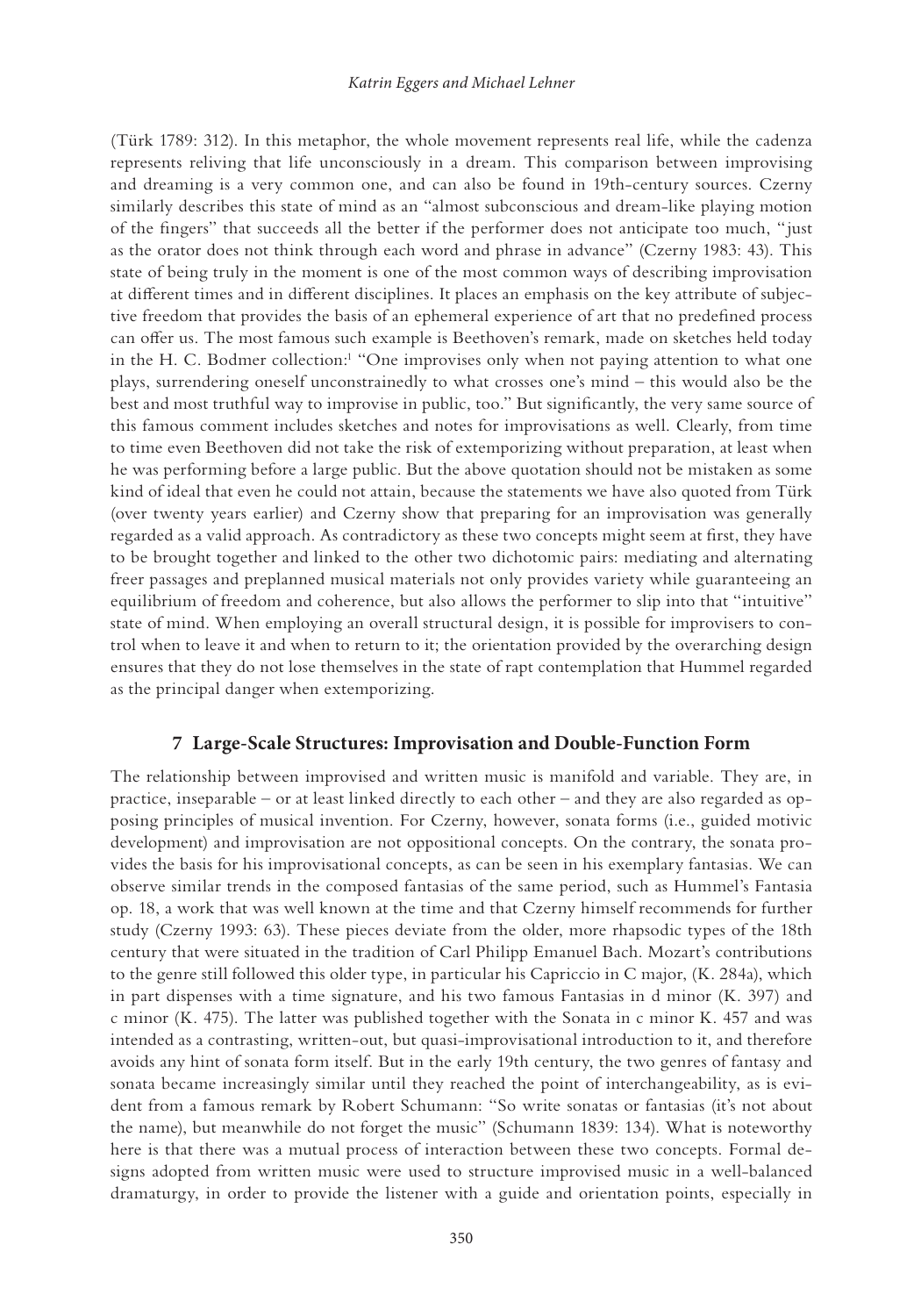<span id="page-8-0"></span>(Türk 1789: 312). In this metaphor, the whole movement represents real life, while the cadenza represents reliving that life unconsciously in a dream. This comparison between improvising and dreaming is a very common one, and can also be found in 19th-century sources. Czerny similarly describes this state of mind as an "almost subconscious and dream-like playing motion of the fingers" that succeeds all the better if the performer does not anticipate too much, "just as the orator does not think through each word and phrase in advance" (Czerny 1983: 43). This state of being truly in the moment is one of the most common ways of describing improvisation at different times and in different disciplines. It places an emphasis on the key attribute of subjective freedom that provides the basis of an ephemeral experience of art that no predefined process can offer us. The most famous such example is Beethoven's remark, made on sketches held today in the H. C. Bodmer collection:<sup>1</sup> "One improvises only when not paying attention to what one plays, surrendering oneself unconstrainedly to what crosses one's mind – this would also be the best and most truthful way to improvise in public, too." But significantly, the very same source of this famous comment includes sketches and notes for improvisations as well. Clearly, from time to time even Beethoven did not take the risk of extemporizing without preparation, at least when he was performing before a large public. But the above quotation should not be mistaken as some kind of ideal that even he could not attain, because the statements we have also quoted from Türk (over twenty years earlier) and Czerny show that preparing for an improvisation was generally regarded as a valid approach. As contradictory as these two concepts might seem at first, they have to be brought together and linked to the other two dichotomic pairs: mediating and alternating freer passages and preplanned musical materials not only provides variety while guaranteeing an equilibrium of freedom and coherence, but also allows the performer to slip into that "intuitive" state of mind. When employing an overall structural design, it is possible for improvisers to control when to leave it and when to return to it; the orientation provided by the overarching design ensures that they do not lose themselves in the state of rapt contemplation that Hummel regarded as the principal danger when extemporizing.

#### **7 Large-Scale Structures: Improvisation and Double-Function Form**

The relationship between improvised and written music is manifold and variable. They are, in practice, inseparable – or at least linked directly to each other – and they are also regarded as opposing principles of musical invention. For Czerny, however, sonata forms (i.e., guided motivic development) and improvisation are not oppositional concepts. On the contrary, the sonata provides the basis for his improvisational concepts, as can be seen in his exemplary fantasias. We can observe similar trends in the composed fantasias of the same period, such as Hummel's Fantasia op. 18, a work that was well known at the time and that Czerny himself recommends for further study (Czerny 1993: 63). These pieces deviate from the older, more rhapsodic types of the 18th century that were situated in the tradition of Carl Philipp Emanuel Bach. Mozart's contributions to the genre still followed this older type, in particular his Capriccio in C major, (K. 284a), which in part dispenses with a time signature, and his two famous Fantasias in d minor (K. 397) and c minor (K. 475). The latter was published together with the Sonata in c minor K. 457 and was intended as a contrasting, written-out, but quasi-improvisational introduction to it, and therefore avoids any hint of sonata form itself. But in the early 19th century, the two genres of fantasy and sonata became increasingly similar until they reached the point of interchangeability, as is evident from a famous remark by Robert Schumann: "So write sonatas or fantasias (it's not about the name), but meanwhile do not forget the music" (Schumann 1839: 134). What is noteworthy here is that there was a mutual process of interaction between these two concepts. Formal designs adopted from written music were used to structure improvised music in a well-balanced dramaturgy, in order to provide the listener with a guide and orientation points, especially in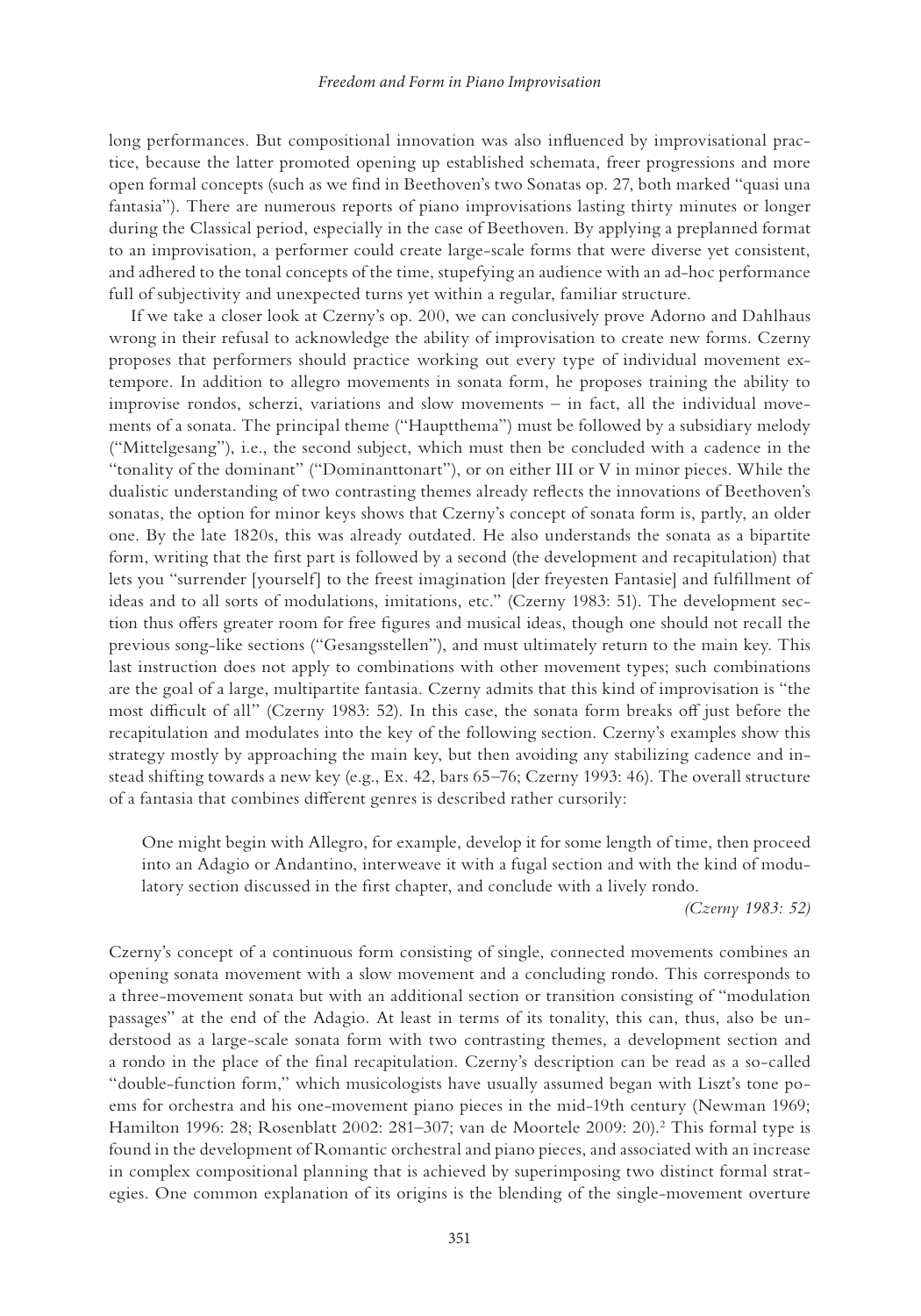<span id="page-9-0"></span>long performances. But compositional innovation was also influenced by improvisational practice, because the latter promoted opening up established schemata, freer progressions and more open formal concepts (such as we find in Beethoven's two Sonatas op. 27, both marked "quasi una fantasia"). There are numerous reports of piano improvisations lasting thirty minutes or longer during the Classical period, especially in the case of Beethoven. By applying a preplanned format to an improvisation, a performer could create large-scale forms that were diverse yet consistent, and adhered to the tonal concepts of the time, stupefying an audience with an ad-hoc performance full of subjectivity and unexpected turns yet within a regular, familiar structure.

If we take a closer look at Czerny's op. 200, we can conclusively prove Adorno and Dahlhaus wrong in their refusal to acknowledge the ability of improvisation to create new forms. Czerny proposes that performers should practice working out every type of individual movement extempore. In addition to allegro movements in sonata form, he proposes training the ability to improvise rondos, scherzi, variations and slow movements – in fact, all the individual movements of a sonata. The principal theme ("Hauptthema") must be followed by a subsidiary melody ("Mittelgesang"), i.e., the second subject, which must then be concluded with a cadence in the "tonality of the dominant" ("Dominanttonart"), or on either III or V in minor pieces. While the dualistic understanding of two contrasting themes already reflects the innovations of Beethoven's sonatas, the option for minor keys shows that Czerny's concept of sonata form is, partly, an older one. By the late 1820s, this was already outdated. He also understands the sonata as a bipartite form, writing that the first part is followed by a second (the development and recapitulation) that lets you "surrender [yourself] to the freest imagination [der freyesten Fantasie] and fulfillment of ideas and to all sorts of modulations, imitations, etc." (Czerny 1983: 51). The development section thus offers greater room for free figures and musical ideas, though one should not recall the previous song-like sections ("Gesangsstellen"), and must ultimately return to the main key. This last instruction does not apply to combinations with other movement types; such combinations are the goal of a large, multipartite fantasia. Czerny admits that this kind of improvisation is "the most difficult of all" (Czerny 1983: 52). In this case, the sonata form breaks off just before the recapitulation and modulates into the key of the following section. Czerny's examples show this strategy mostly by approaching the main key, but then avoiding any stabilizing cadence and instead shifting towards a new key (e.g., Ex. 42, bars 65–76; Czerny 1993: 46). The overall structure of a fantasia that combines different genres is described rather cursorily:

One might begin with Allegro, for example, develop it for some length of time, then proceed into an Adagio or Andantino, interweave it with a fugal section and with the kind of modulatory section discussed in the first chapter, and conclude with a lively rondo.

*(Czerny 1983: 52)*

Czerny's concept of a continuous form consisting of single, connected movements combines an opening sonata movement with a slow movement and a concluding rondo. This corresponds to a three-movement sonata but with an additional section or transition consisting of "modulation passages" at the end of the Adagio. At least in terms of its tonality, this can, thus, also be understood as a large-scale sonata form with two contrasting themes, a development section and a rondo in the place of the final recapitulation. Czerny's description can be read as a so-called "double-function form," which musicologists have usually assumed began with Liszt's tone poems for orchestra and his one-movement piano pieces in the mid-19th century (Newman 1969; Hamilton 1996: 28; Rosenblatt 2002: 281–307; van de Moortele 2009: 20)[.2](#page-11-0) This formal type is found in the development of Romantic orchestral and piano pieces, and associated with an increase in complex compositional planning that is achieved by superimposing two distinct formal strategies. One common explanation of its origins is the blending of the single-movement overture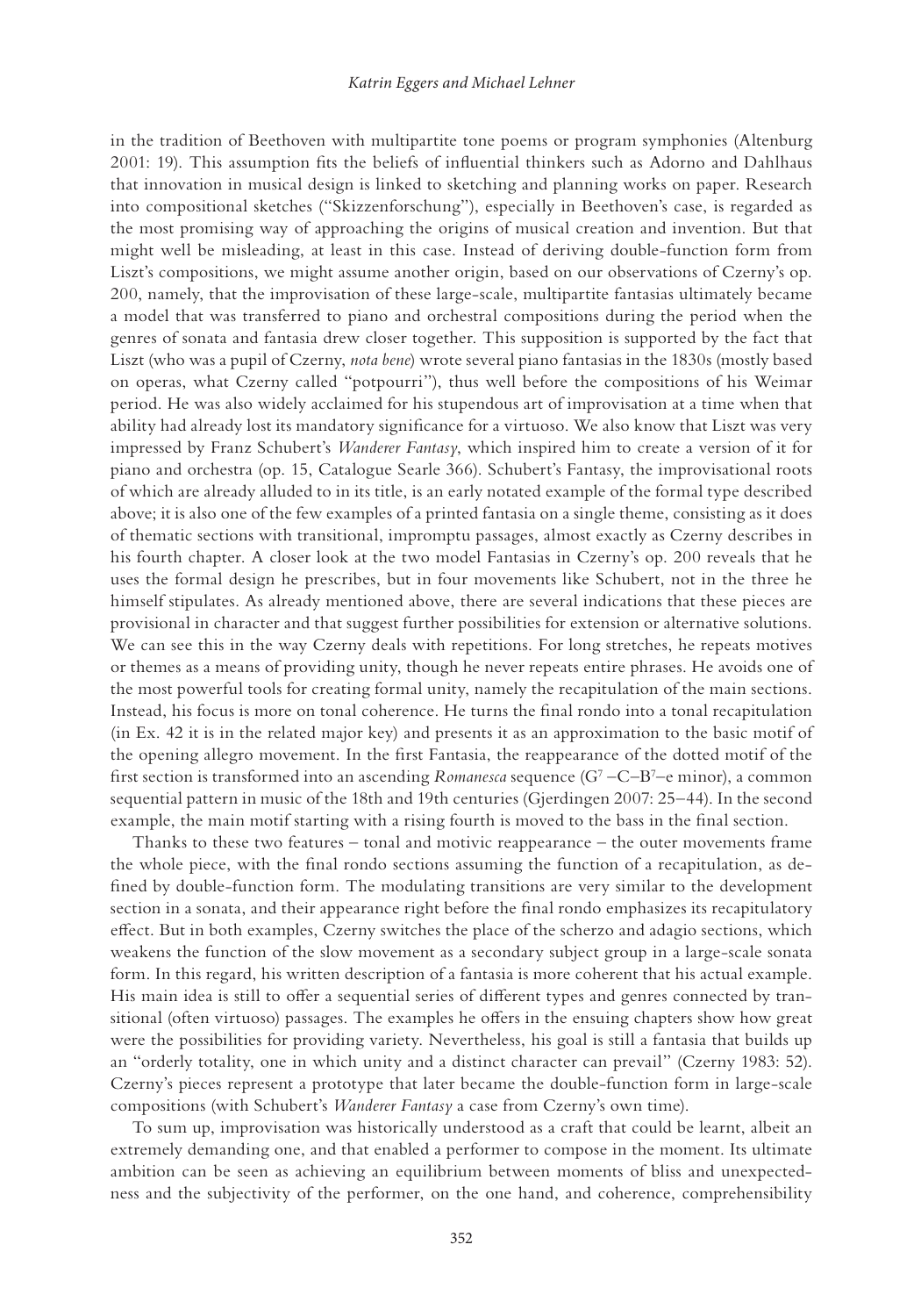#### *Katrin Eggers and Michael Lehner*

in the tradition of Beethoven with multipartite tone poems or program symphonies (Altenburg 2001: 19). This assumption fits the beliefs of influential thinkers such as Adorno and Dahlhaus that innovation in musical design is linked to sketching and planning works on paper. Research into compositional sketches ("Skizzenforschung"), especially in Beethoven's case, is regarded as the most promising way of approaching the origins of musical creation and invention. But that might well be misleading, at least in this case. Instead of deriving double-function form from Liszt's compositions, we might assume another origin, based on our observations of Czerny's op. 200, namely, that the improvisation of these large-scale, multipartite fantasias ultimately became a model that was transferred to piano and orchestral compositions during the period when the genres of sonata and fantasia drew closer together. This supposition is supported by the fact that Liszt (who was a pupil of Czerny, *nota bene*) wrote several piano fantasias in the 1830s (mostly based on operas, what Czerny called "potpourri"), thus well before the compositions of his Weimar period. He was also widely acclaimed for his stupendous art of improvisation at a time when that ability had already lost its mandatory significance for a virtuoso. We also know that Liszt was very impressed by Franz Schubert's *Wanderer Fantasy*, which inspired him to create a version of it for piano and orchestra (op. 15, Catalogue Searle 366). Schubert's Fantasy, the improvisational roots of which are already alluded to in its title, is an early notated example of the formal type described above; it is also one of the few examples of a printed fantasia on a single theme, consisting as it does of thematic sections with transitional, impromptu passages, almost exactly as Czerny describes in his fourth chapter. A closer look at the two model Fantasias in Czerny's op. 200 reveals that he uses the formal design he prescribes, but in four movements like Schubert, not in the three he himself stipulates. As already mentioned above, there are several indications that these pieces are provisional in character and that suggest further possibilities for extension or alternative solutions. We can see this in the way Czerny deals with repetitions. For long stretches, he repeats motives or themes as a means of providing unity, though he never repeats entire phrases. He avoids one of the most powerful tools for creating formal unity, namely the recapitulation of the main sections. Instead, his focus is more on tonal coherence. He turns the final rondo into a tonal recapitulation (in Ex. 42 it is in the related major key) and presents it as an approximation to the basic motif of the opening allegro movement. In the first Fantasia, the reappearance of the dotted motif of the first section is transformed into an ascending *Romanesca* sequence (G<sup>7</sup> – C–B<sup>7</sup>–e minor), a common sequential pattern in music of the 18th and 19th centuries (Gjerdingen 2007: 25–44). In the second example, the main motif starting with a rising fourth is moved to the bass in the final section.

Thanks to these two features – tonal and motivic reappearance – the outer movements frame the whole piece, with the final rondo sections assuming the function of a recapitulation, as defined by double-function form. The modulating transitions are very similar to the development section in a sonata, and their appearance right before the final rondo emphasizes its recapitulatory effect. But in both examples, Czerny switches the place of the scherzo and adagio sections, which weakens the function of the slow movement as a secondary subject group in a large-scale sonata form. In this regard, his written description of a fantasia is more coherent that his actual example. His main idea is still to offer a sequential series of different types and genres connected by transitional (often virtuoso) passages. The examples he offers in the ensuing chapters show how great were the possibilities for providing variety. Nevertheless, his goal is still a fantasia that builds up an "orderly totality, one in which unity and a distinct character can prevail" (Czerny 1983: 52). Czerny's pieces represent a prototype that later became the double-function form in large-scale compositions (with Schubert's *Wanderer Fantasy* a case from Czerny's own time).

To sum up, improvisation was historically understood as a craft that could be learnt, albeit an extremely demanding one, and that enabled a performer to compose in the moment. Its ultimate ambition can be seen as achieving an equilibrium between moments of bliss and unexpectedness and the subjectivity of the performer, on the one hand, and coherence, comprehensibility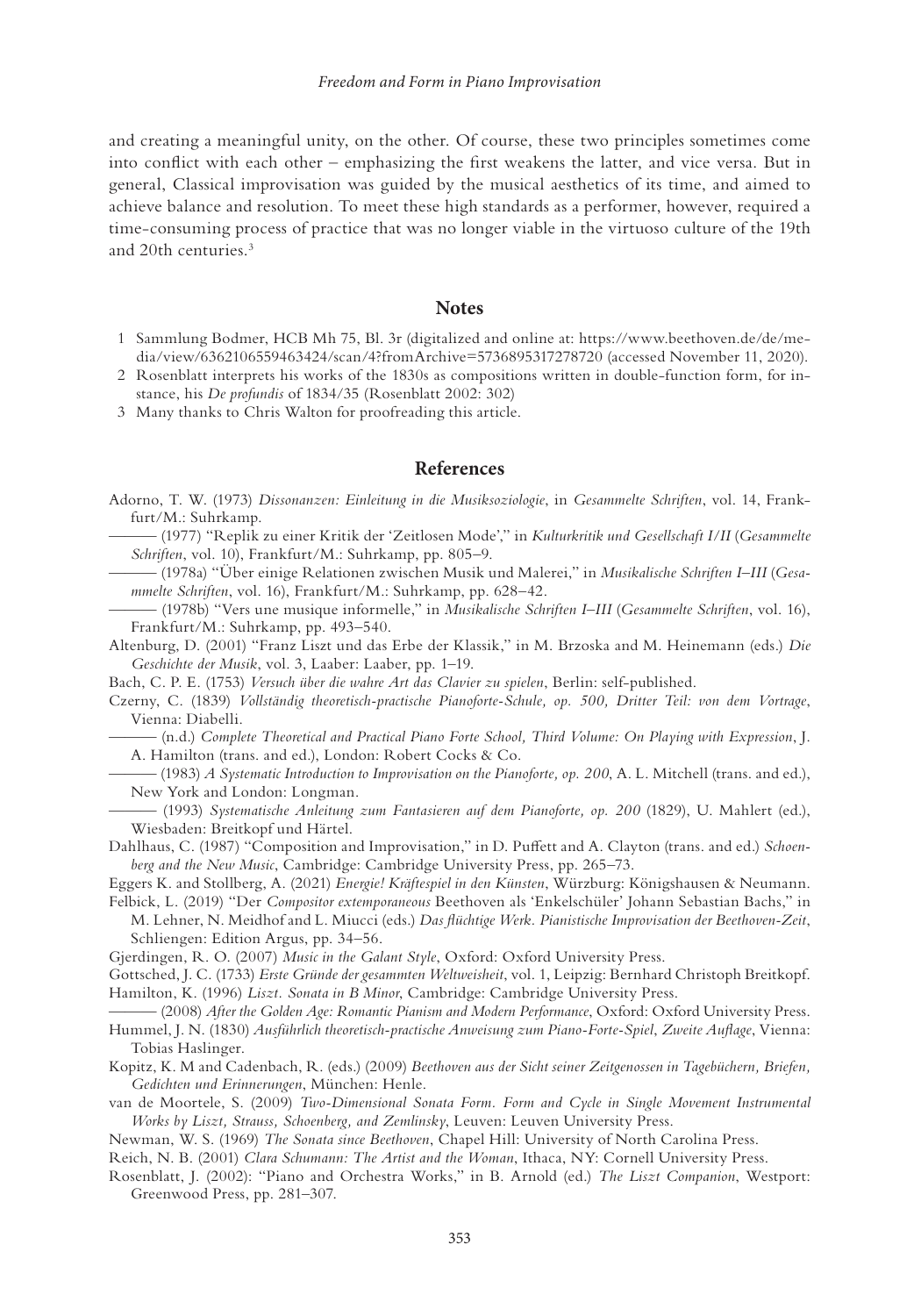<span id="page-11-0"></span>and creating a meaningful unity, on the other. Of course, these two principles sometimes come into conflict with each other – emphasizing the first weakens the latter, and vice versa. But in general, Classical improvisation was guided by the musical aesthetics of its time, and aimed to achieve balance and resolution. To meet these high standards as a performer, however, required a time-consuming process of practice that was no longer viable in the virtuoso culture of the 19th and 20th centuries.3

#### **Notes**

- [1](#page-8-0) Sammlung Bodmer, HCB Mh 75, Bl. 3r (digitalized and online at: [https://www.beethoven.de/de/me](https://www.beethoven.de)[dia/view/6362106559463424/scan/4?fromArchive=5736895317278720](https://www.beethoven.de) (accessed November 11, 2020).
- [2](#page-9-0) Rosenblatt interprets his works of the 1830s as compositions written in double-function form, for instance, his *De profundis* of 1834/35 (Rosenblatt 2002: 302)
- 3 Many thanks to Chris Walton for proofreading this article.

#### **References**

- Adorno, T. W. (1973) *Dissonanzen: Einleitung in die Musiksoziologie*, in *Gesammelte Schriften*, vol. 14, Frankfurt/M.: Suhrkamp.
- ——— (1977) "Replik zu einer Kritik der 'Zeitlosen Mode'," in *Kulturkritik und Gesellschaft I/II* (*Gesammelte Schriften*, vol. 10), Frankfurt/M.: Suhrkamp, pp. 805–9.
- ——— (1978a) "Über einige Relationen zwischen Musik und Malerei," in *Musikalische Schriften I*–*III* (*Gesammelte Schriften*, vol. 16), Frankfurt/M.: Suhrkamp, pp. 628–42.
- ——— (1978b) "Vers une musique informelle," in *Musikalische Schriften I*–*III* (*Gesammelte Schriften*, vol. 16), Frankfurt/M.: Suhrkamp, pp. 493–540.
- Altenburg, D. (2001) "Franz Liszt und das Erbe der Klassik," in M. Brzoska and M. Heinemann (eds.) *Die Geschichte der Musik*, vol. 3, Laaber: Laaber, pp. 1–19.
- Bach, C. P. E. (1753) *Versuch über die wahre Art das Clavier zu spielen*, Berlin: self-published.
- Czerny, C. (1839) *Vollständig theoretisch-practische Pianoforte-Schule, op. 500, Dritter Teil: von dem Vortrage*, Vienna: Diabelli.
	- ——— (n.d.) *Complete Theoretical and Practical Piano Forte School, Third Volume: On Playing with Expression*, J. A. Hamilton (trans. and ed.), London: Robert Cocks & Co.
- ——— (1983) *A Systematic Introduction to Improvisation on the Pianoforte, op. 200*, A. L. Mitchell (trans. and ed.), New York and London: Longman.
- ——— (1993) *Systematische Anleitung zum Fantasieren auf dem Pianoforte, op. 200* (1829), U. Mahlert (ed.), Wiesbaden: Breitkopf und Härtel.
- Dahlhaus, C. (1987) "Composition and Improvisation," in D. Puffett and A. Clayton (trans. and ed.) *Schoenberg and the New Music*, Cambridge: Cambridge University Press, pp. 265–73.

Eggers K. and Stollberg, A. (2021) *Energie! Kräftespiel in den Künsten*, Würzburg: Königshausen & Neumann.

- Felbick, L. (2019) "Der *Compositor extemporaneous* Beethoven als 'Enkelschüler' Johann Sebastian Bachs," in M. Lehner, N. Meidhof and L. Miucci (eds.) *Das flüchtige Werk. Pianistische Improvisation der Beethoven-Zeit*, Schliengen: Edition Argus, pp. 34–56.
- Gjerdingen, R. O. (2007) *Music in the Galant Style*, Oxford: Oxford University Press.
- Gottsched, J. C. (1733) *Erste Gründe der gesammten Weltweisheit*, vol. 1, Leipzig: Bernhard Christoph Breitkopf. Hamilton, K. (1996) *Liszt. Sonata in B Minor*, Cambridge: Cambridge University Press.
- ——— (2008) *After the Golden Age: Romantic Pianism and Modern Performance*, Oxford: Oxford University Press.
- Hummel, J. N. (1830) *Ausführlich theoretisch-practische Anweisung zum Piano-Forte-Spiel*, *Zweite Auflage*, Vienna: Tobias Haslinger.
- Kopitz, K. M and Cadenbach, R. (eds.) (2009) *Beethoven aus der Sicht seiner Zeitgenossen in Tagebüchern, Briefen, Gedichten und Erinnerungen*, München: Henle.
- van de Moortele, S. (2009) *Two-Dimensional Sonata Form. Form and Cycle in Single Movement Instrumental Works by Liszt, Strauss, Schoenberg, and Zemlinsky*, Leuven: Leuven University Press.
- Newman, W. S. (1969) *The Sonata since Beethoven*, Chapel Hill: University of North Carolina Press.
- Reich, N. B. (2001) *Clara Schumann: The Artist and the Woman*, Ithaca, NY: Cornell University Press.
- Rosenblatt, J. (2002): "Piano and Orchestra Works," in B. Arnold (ed.) *The Liszt Companion*, Westport: Greenwood Press, pp. 281–307.